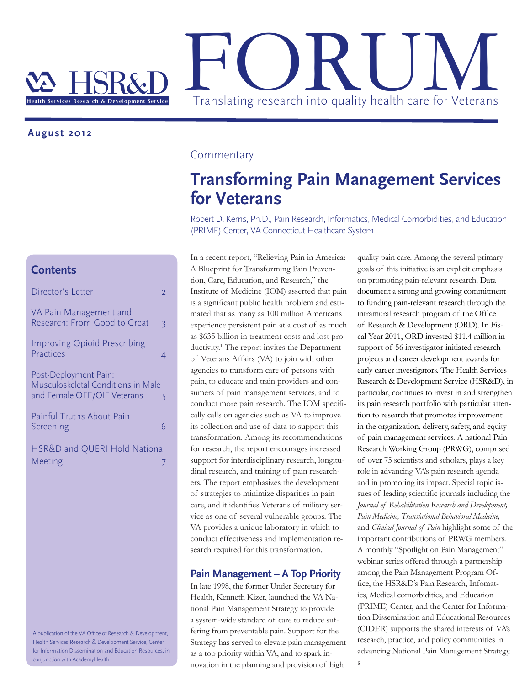

### **August 2012**

### **Contents**

| Director's Letter                                                                          | 2 |
|--------------------------------------------------------------------------------------------|---|
| VA Pain Management and<br>Research: From Good to Great                                     | 3 |
| <b>Improving Opioid Prescribing</b><br>Practices                                           | 4 |
| Post-Deployment Pain:<br>Musculoskeletal Conditions in Male<br>and Female OEF/OIF Veterans | 5 |
| Painful Truths About Pain<br>Screening                                                     | 6 |
| HSR&D and QUERI Hold National<br>Meeting                                                   |   |

A publication of the VA Office of Research & Development, Health Services Research & Development Service, Center for Information Dissemination and Education Resources, in conjunction with AcademyHealth.

## **Commentary**

# **Transforming Pain Management Services for Veterans**

Robert D. Kerns, Ph.D., Pain Research, Informatics, Medical Comorbidities, and Education (PRIME) Center, VA Connecticut Healthcare System

In a recent report, "Relieving Pain in America: A Blueprint for Transforming Pain Prevention, Care, Education, and Research," the Institute of Medicine (IOM) asserted that pain is a significant public health problem and estimated that as many as 100 million Americans experience persistent pain at a cost of as much as \$635 billion in treatment costs and lost productivity.<sup>1</sup> The report invites the Department of Veterans Affairs (VA) to join with other agencies to transform care of persons with pain, to educate and train providers and consumers of pain management services, and to conduct more pain research. The IOM specifically calls on agencies such as VA to improve its collection and use of data to support this transformation. Among its recommendations for research, the report encourages increased support for interdisciplinary research, longitudinal research, and training of pain researchers. The report emphasizes the development of strategies to minimize disparities in pain care, and it identifies Veterans of military service as one of several vulnerable groups. The VA provides a unique laboratory in which to conduct effectiveness and implementation research required for this transformation.

#### **Pain Management – A Top Priority**

In late 1998, the former Under Secretary for Health, Kenneth Kizer, launched the VA National Pain Management Strategy to provide a system-wide standard of care to reduce suffering from preventable pain. Support for the Strategy has served to elevate pain management as a top priority within VA, and to spark innovation in the planning and provision of high

quality pain care. Among the several primary goals of this initiative is an explicit emphasis on promoting pain-relevant research. Data document a strong and growing commitment to funding pain-relevant research through the intramural research program of the Office of Research & Development (ORD). In Fiscal Year 2011, ORD invested \$11.4 million in support of 56 investigator-initiated research projects and career development awards for early career investigators. The Health Services Research & Development Service (HSR&D), in particular, continues to invest in and strengthen its pain research portfolio with particular attention to research that promotes improvement in the organization, delivery, safety, and equity of pain management services. A national Pain Research Working Group (PRWG), comprised of over 75 scientists and scholars, plays a key role in advancing VA's pain research agenda and in promoting its impact. Special topic issues of leading scientific journals including the *Journal of Rehabilitation Research and Development, Pain Medicine, Translational Behavioral Medicine,*  and *Clinical Journal of Pain* highlight some of the important contributions of PRWG members. A monthly "Spotlight on Pain Management" webinar series offered through a partnership among the Pain Management Program Office, the HSR&D's Pain Research, Infomatics, Medical comorbidities, and Education (PRIME) Center, and the Center for Information Dissemination and Educational Resources (CIDER) supports the shared interests of VA's research, practice, and policy communities in advancing National Pain Management Strategy.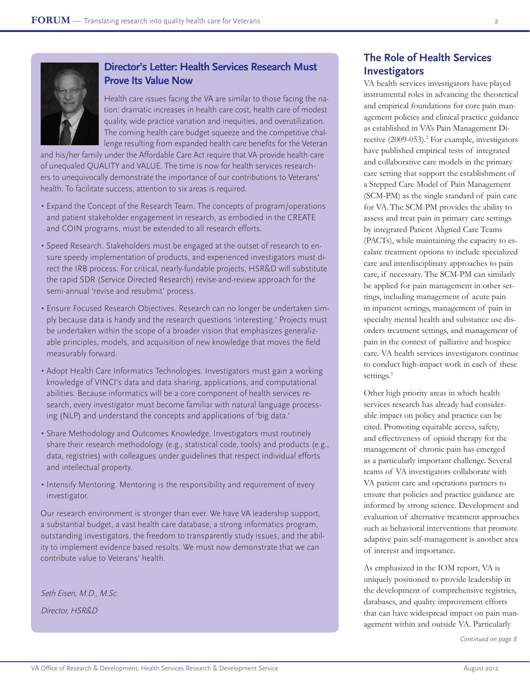

## **Director's Letter: Health Services Research Must Prove Its Value Now**

Health care issues facing the VA are similar to those facing the nation: dramatic increases in health care cost, health care of modest quality, wide practice variation and inequities, and overutilization. The coming health care budget squeeze and the competitive challenge resulting from expanded health care benefits for the Veteran

and his/her family under the Affordable Care Act require that VA provide health care of unequaled QUALITY and VALUE. The time is now for health services researchers to unequivocally demonstrate the importance of our contributions to Veterans' health. To facilitate success, attention to six areas is required.

- Expand the Concept of the Research Team. The concepts of program/operations and patient stakeholder engagement in research, as embodied in the CREATE and COIN programs, must be extended to all research efforts.
- Speed Research. Stakeholders must be engaged at the outset of research to ensure speedy implementation of products, and experienced investigators must direct the IRB process. For critical, nearly-fundable projects, HSR&D will substitute the rapid SDR (Service Directed Research) revise-and-review approach for the semi-annual 'revise and resubmit' process.
- Ensure Focused Research Objectives. Research can no longer be undertaken simply because data is handy and the research questions 'interesting.' Projects must be undertaken within the scope of a broader vision that emphasizes generalizable principles, models, and acquisition of new knowledge that moves the field measurably forward.
- Adopt Health Care Informatics Technologies. Investigators must gain a working knowledge of VINCI's data and data sharing, applications, and computational abilities. Because informatics will be a core component of health services research, every investigator must become familiar with natural language processing (NLP) and understand the concepts and applications of 'big data.'
- Share Methodology and Outcomes Knowledge. Investigators must routinely share their research methodology (e.g., statistical code, tools) and products (e.g., data, registries) with colleagues under guidelines that respect individual efforts and intellectual property.
- •Intensify Mentoring. Mentoring is the responsibility and requirement of every investigator.

Our research environment is stronger than ever. We have VA leadership support, a substantial budget, a vast health care database, a strong informatics program, outstanding investigators, the freedom to transparently study issues, and the ability to implement evidence based results. We must now demonstrate that we can contribute value to Veterans' health.

Seth Eisen, M.D., M.Sc.

Director, HSR&D

## **The Role of Health Services Investigators**

VA health services investigators have played instrumental roles in advancing the theoretical and empirical foundations for core pain management policies and clinical practice guidance as established in VA's Pain Management Directive (2009-053).<sup>2</sup> For example, investigators have published empirical tests of integrated and collaborative care models in the primary care setting that support the establishment of a Stepped Care Model of Pain Management (SCM-PM) as the single standard of pain care for VA.The SCM-PM provides the ability to assess and treat pain in primary care settings by integrated Patient Aligned Care Teams (PACTs), while maintaining the capacity to escalate treatment options to include specialized care and interdisciplinary approaches to pain care, if necessary. The SCM-PM can similarly be applied for pain management in other settings, including management of acute pain in inpatient settings, management of pain in specialty mental health and substance use disorders treatment settings, and management of pain in the context of palliative and hospice care. VA health services investigators continue to conduct high-impact work in each of these settings.<sup>3</sup>

Other high priority areas in which health services research has already had considerable impact on policy and practice can be cited. Promoting equitable access, safety, and effectiveness of opioid therapy for the management of chronic pain has emerged as a particularly important challenge. Several teams of VA investigators collaborate with VA patient care and operations partners to ensure that policies and practice guidance are informed by strong science. Development and evaluation of alternative treatment approaches such as behavioral interventions that promote adaptive pain self-management is another area of interest and importance.

As emphasized in the IOM report, VA is uniquely positioned to provide leadership in the development of comprehensive registries, databases, and quality improvement efforts that can have widespread impact on pain management within and outside VA. Particularly

*Continued on page 8*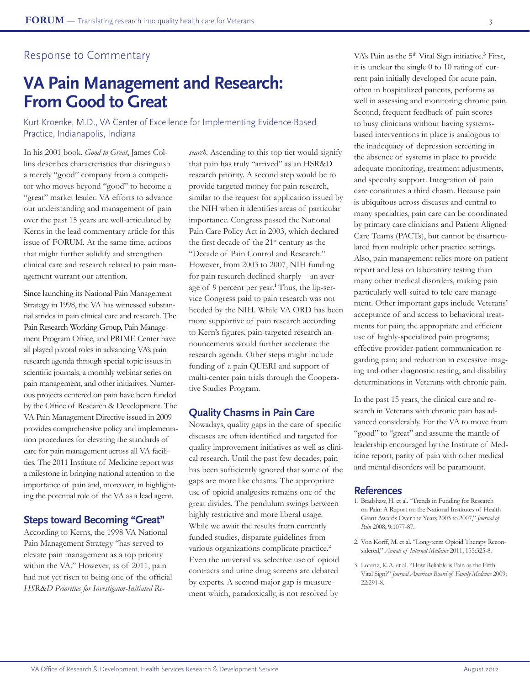## Response to Commentary

# **VA Pain Management and Research: From Good to Great**

Kurt Kroenke, M.D., VA Center of Excellence for Implementing Evidence-Based Practice, Indianapolis, Indiana

In his 2001 book, *Good to Great*, James Collins describes characteristics that distinguish a merely "good" company from a competitor who moves beyond "good" to become a "great" market leader. VA efforts to advance our understanding and management of pain over the past 15 years are well-articulated by Kerns in the lead commentary article for this issue of FORUM. At the same time, actions that might further solidify and strengthen clinical care and research related to pain management warrant our attention.

Since launching its National Pain Management Strategy in 1998, the VA has witnessed substantial strides in pain clinical care and research. The Pain Research Working Group, Pain Management Program Office, and PRIME Center have all played pivotal roles in advancing VA's pain research agenda through special topic issues in scientific journals, a monthly webinar series on pain management, and other initiatives. Numerous projects centered on pain have been funded by the Office of Research & Development. The VA Pain Management Directive issued in 2009 provides comprehensive policy and implementation procedures for elevating the standards of care for pain management across all VA facilities. The 2011 Institute of Medicine report was a milestone in bringing national attention to the importance of pain and, moreover, in highlighting the potential role of the VA as a lead agent.

### **Steps toward Becoming "Great"**

According to Kerns, the 1998 VA National Pain Management Strategy "has served to elevate pain management as a top priority within the VA." However, as of 2011, pain had not yet risen to being one of the official *HSR*&*D Priorities for Investigator-Initiated Re-*

*search*. Ascending to this top tier would signify that pain has truly "arrived" as an HSR&D research priority. A second step would be to provide targeted money for pain research, similar to the request for application issued by the NIH when it identifies areas of particular importance. Congress passed the National Pain Care Policy Act in 2003, which declared the first decade of the 21<sup>st</sup> century as the "Decade of Pain Control and Research." However, from 2003 to 2007, NIH funding for pain research declined sharply—an average of 9 percent per year.**<sup>1</sup>** Thus, the lip-service Congress paid to pain research was not heeded by the NIH. While VA ORD has been more supportive of pain research according to Kern's figures, pain-targeted research announcements would further accelerate the research agenda. Other steps might include funding of a pain QUERI and support of multi-center pain trials through the Cooperative Studies Program.

### **Quality Chasms in Pain Care**

Nowadays, quality gaps in the care of specific diseases are often identified and targeted for quality improvement initiatives as well as clinical research. Until the past few decades, pain has been sufficiently ignored that some of the gaps are more like chasms. The appropriate use of opioid analgesics remains one of the great divides. The pendulum swings between highly restrictive and more liberal usage. While we await the results from currently funded studies, disparate guidelines from various organizations complicate practice.**<sup>2</sup>** Even the universal vs. selective use of opioid contracts and urine drug screens are debated by experts. A second major gap is measurement which, paradoxically, is not resolved by

VA's Pain as the 5<sup>th</sup> Vital Sign initiative.<sup>3</sup> First, it is unclear the single 0 to 10 rating of current pain initially developed for acute pain, often in hospitalized patients, performs as well in assessing and monitoring chronic pain. Second, frequent feedback of pain scores to busy clinicians without having systemsbased interventions in place is analogous to the inadequacy of depression screening in the absence of systems in place to provide adequate monitoring, treatment adjustments, and specialty support. Integration of pain care constitutes a third chasm. Because pain is ubiquitous across diseases and central to many specialties, pain care can be coordinated by primary care clinicians and Patient Aligned Care Teams (PACTs), but cannot be disarticulated from multiple other practice settings. Also, pain management relies more on patient report and less on laboratory testing than many other medical disorders, making pain particularly well-suited to tele-care management. Other important gaps include Veterans' acceptance of and access to behavioral treatments for pain; the appropriate and efficient use of highly-specialized pain programs; effective provider-patient communication regarding pain; and reduction in excessive imaging and other diagnostic testing, and disability determinations in Veterans with chronic pain.

In the past 15 years, the clinical care and research in Veterans with chronic pain has advanced considerably. For the VA to move from "good" to "great" and assume the mantle of leadership encouraged by the Institute of Medicine report, parity of pain with other medical and mental disorders will be paramount.

#### **References**

- 1. Bradshaw, H. et al. "Trends in Funding for Research on Pain: A Report on the National Institutes of Health Grant Awards Over the Years 2003 to 2007," *Journal of Pain* 2008; 9:1077-87.
- 2. Von Korff, M. et al. "Long-term Opioid Therapy Reconsidered," *Annals of Internal Medicine* 2011; 155:325-8.
- 3. Lorenz, K.A. et al. "How Reliable is Pain as the Fifth Vital Sign?" *Journal American Board of Family Medicine* 2009; 22:291-8.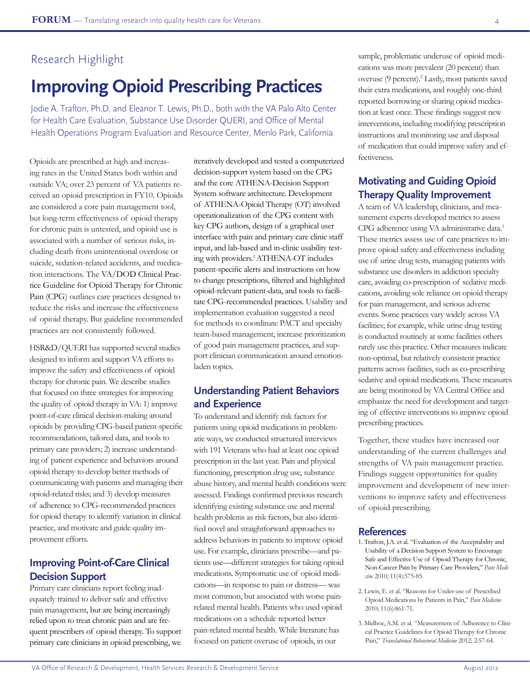## Research Highlight

# **Improving Opioid Prescribing Practices**

Jodie A. Trafton, Ph.D. and Eleanor T. Lewis, Ph.D., both with the VA Palo Alto Center for Health Care Evaluation, Substance Use Disorder QUERI, and Office of Mental Health Operations Program Evaluation and Resource Center, Menlo Park, California

Opioids are prescribed at high and increasing rates in the United States both within and outside VA; over 23 percent of VA patients received an opioid prescription in FY10. Opioids are considered a core pain management tool, but long-term effectiveness of opioid therapy for chronic pain is untested, and opioid use is associated with a number of serious risks, including death from unintentional overdose or suicide, sedation-related accidents, and medication interactions. The VA/DOD Clinical Practice Guideline for Opioid Therapy for Chronic Pain (CPG) outlines care practices designed to reduce the risks and increase the effectiveness of opioid therapy. But guideline recommended practices are not consistently followed.

HSR&D/QUERI has supported several studies designed to inform and support VA efforts to improve the safety and effectiveness of opioid therapy for chronic pain. We describe studies that focused on three strategies for improving the quality of opioid therapy in VA: 1) improve point-of-care clinical decision-making around opioids by providing CPG-based patient-specific recommendations, tailored data, and tools to primary care providers; 2) increase understanding of patient experience and behaviors around opioid therapy to develop better methods of communicating with patients and managing their opioid-related risks; and 3) develop measures of adherence to CPG-recommended practices for opioid therapy to identify variation in clinical practice, and motivate and guide quality improvement efforts.

## **Improving Point-of-Care Clinical Decision Support**

Primary care clinicians report feeling inadequately trained to deliver safe and effective pain management, but are being increasingly relied upon to treat chronic pain and are frequent prescribers of opioid therapy. To support primary care clinicians in opioid prescribing, we iteratively developed and tested a computerized decision-support system based on the CPG and the core ATHENA-Decision Support System software architecture. Development of ATHENA-Opioid Therapy (OT) involved operationalization of the CPG content with key CPG authors, design of a graphical user interface with pain and primary care clinic staff input, and lab-based and in-clinic usability testing with providers.1 ATHENA-OT includes patient-specific alerts and instructions on how to change prescriptions, filtered and highlighted opioid-relevant patient-data, and tools to facilitate CPG-recommended practices. Usability and implementation evaluation suggested a need for methods to coordinate PACT and specialty team-based management, increase prioritization of good pain management practices, and support clinician communication around emotionladen topics.

## **Understanding Patient Behaviors and Experience**

To understand and identify risk factors for patients using opioid medications in problematic ways, we conducted structured interviews with 191 Veterans who had at least one opioid prescription in the last year. Pain and physical functioning, prescription drug use, substance abuse history, and mental health conditions were assessed. Findings confirmed previous research identifying existing substance use and mental health problems as risk factors, but also identified novel and straightforward approaches to address behaviors in patients to improve opioid use. For example, clinicians prescribe—and patients use—different strategies for taking opioid medications. Symptomatic use of opioid medications—in response to pain or distress— was most common, but associated with worse painrelated mental health. Patients who used opioid medications on a schedule reported better pain-related mental health. While literature has focused on patient overuse of opioids, in our

sample, problematic underuse of opioid medications was more prevalent (20 percent) than overuse (9 percent).<sup>2</sup> Lastly, most patients saved their extra medications, and roughly one-third reported borrowing or sharing opioid medication at least once. These findings suggest new interventions, including modifying prescription instructions and monitoring use and disposal of medication that could improve safety and effectiveness.

## **Motivating and Guiding Opioid Therapy Quality Improvement**

A team of VA leadership, clinicians, and measurement experts developed metrics to assess CPG adherence using VA administrative data.3 These metrics assess use of care practices to improve opioid safety and effectiveness including use of urine drug tests, managing patients with substance use disorders in addiction specialty care, avoiding co-prescription of sedative medications, avoiding sole reliance on opioid therapy for pain management, and serious adverse events. Some practices vary widely across VA facilities; for example, while urine drug testing is conducted routinely at some facilities others rarely use this practice. Other measures indicate non-optimal, but relatively consistent practice patterns across facilities, such as co-prescribing sedative and opioid medications. These measures are being monitored by VA Central Office and emphasize the need for development and targeting of effective interventions to improve opioid prescribing practices.

Together, these studies have increased our understanding of the current challenges and strengths of VA pain management practice. Findings suggest opportunities for quality improvement and development of new interventions to improve safety and effectiveness of opioid prescribing.

#### **References**

- 1. Trafton, J.A. et al. "Evaluation of the Acceptability and Usability of a Decision Support System to Encourage Safe and Effective Use of Opioid Therapy for Chronic, Non-Cancer Pain by Primary Care Providers," *Pain Medicine* 2010; 11(4):575-85.
- 2. Lewis, E. et al. "Reasons for Under-use of Prescribed Opioid Medications by Patients in Pain," *Pain Medicine* 2010; 11(6):861-71.
- 3. Midboe,A.M. et al. "Measurement of Adherence to Clinical Practice Guidelines for Opioid Therapy for Chronic Pain," *Translational Behavioral Medicine* 2012; 2:57-64.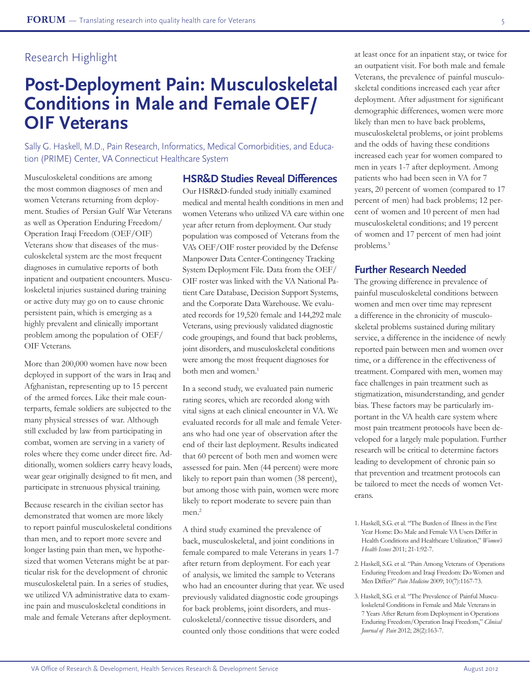# Research Highlight

# **Post-Deployment Pain: Musculoskeletal Conditions in Male and Female OEF/ OIF Veterans**

Sally G. Haskell, M.D., Pain Research, Informatics, Medical Comorbidities, and Education (PRIME) Center, VA Connecticut Healthcare System

Musculoskeletal conditions are among the most common diagnoses of men and women Veterans returning from deployment. Studies of Persian Gulf War Veterans as well as Operation Enduring Freedom/ Operation Iraqi Freedom (OEF/OIF) Veterans show that diseases of the musculoskeletal system are the most frequent diagnoses in cumulative reports of both inpatient and outpatient encounters. Musculoskeletal injuries sustained during training or active duty may go on to cause chronic persistent pain, which is emerging as a highly prevalent and clinically important problem among the population of OEF/ OIF Veterans.

More than 200,000 women have now been deployed in support of the wars in Iraq and Afghanistan, representing up to 15 percent of the armed forces. Like their male counterparts, female soldiers are subjected to the many physical stresses of war. Although still excluded by law from participating in combat, women are serving in a variety of roles where they come under direct fire. Additionally, women soldiers carry heavy loads, wear gear originally designed to fit men, and participate in strenuous physical training.

Because research in the civilian sector has demonstrated that women are more likely to report painful musculoskeletal conditions than men, and to report more severe and longer lasting pain than men, we hypothesized that women Veterans might be at particular risk for the development of chronic musculoskeletal pain. In a series of studies, we utilized VA administrative data to examine pain and musculoskeletal conditions in male and female Veterans after deployment.

### **HSR&D Studies Reveal Differences**

Our HSR&D-funded study initially examined medical and mental health conditions in men and women Veterans who utilized VA care within one year after return from deployment. Our study population was composed of Veterans from the VA's OEF/OIF roster provided by the Defense Manpower Data Center-Contingency Tracking System Deployment File. Data from the OEF/ OIF roster was linked with the VA National Patient Care Database, Decision Support Systems, and the Corporate Data Warehouse. We evaluated records for 19,520 female and 144,292 male Veterans, using previously validated diagnostic code groupings, and found that back problems, joint disorders, and musculoskeletal conditions were among the most frequent diagnoses for both men and women.<sup>1</sup>

In a second study, we evaluated pain numeric rating scores, which are recorded along with vital signs at each clinical encounter in VA. We evaluated records for all male and female Veterans who had one year of observation after the end of their last deployment. Results indicated that 60 percent of both men and women were assessed for pain. Men (44 percent) were more likely to report pain than women (38 percent), but among those with pain, women were more likely to report moderate to severe pain than men.<sup>2</sup>

A third study examined the prevalence of back, musculoskeletal, and joint conditions in female compared to male Veterans in years 1-7 after return from deployment. For each year of analysis, we limited the sample to Veterans who had an encounter during that year. We used previously validated diagnostic code groupings for back problems, joint disorders, and musculoskeletal/connective tissue disorders, and counted only those conditions that were coded

at least once for an inpatient stay, or twice for an outpatient visit. For both male and female Veterans, the prevalence of painful musculoskeletal conditions increased each year after deployment. After adjustment for significant demographic differences, women were more likely than men to have back problems, musculoskeletal problems, or joint problems and the odds of having these conditions increased each year for women compared to men in years 1-7 after deployment. Among patients who had been seen in VA for 7 years, 20 percent of women (compared to 17 percent of men) had back problems; 12 percent of women and 10 percent of men had musculoskeletal conditions; and 19 percent of women and 17 percent of men had joint problems.<sup>3</sup>

### **Further Research Needed**

The growing difference in prevalence of painful musculoskeletal conditions between women and men over time may represent a difference in the chronicity of musculoskeletal problems sustained during military service, a difference in the incidence of newly reported pain between men and women over time, or a difference in the effectiveness of treatment. Compared with men, women may face challenges in pain treatment such as stigmatization, misunderstanding, and gender bias. These factors may be particularly important in the VA health care system where most pain treatment protocols have been developed for a largely male population. Further research will be critical to determine factors leading to development of chronic pain so that prevention and treatment protocols can be tailored to meet the needs of women Veterans.

3. Haskell, S.G. et al. "The Prevalence of Painful Musculoskeletal Conditions in Female and Male Veterans in 7 Years After Return from Deployment in Operations Enduring Freedom/Operation Iraqi Freedom," *Clinical Journal of Pain* 2012; 28(2):163-7.

<sup>1.</sup> Haskell, S.G. et al. "The Burden of Illness in the First Year Home: Do Male and Female VA Users Differ in Health Conditions and Healthcare Utilization," *Women's Health Issues* 2011; 21-1:92-7.

<sup>2.</sup> Haskell, S.G. et al. "Pain Among Veterans of Operations Enduring Freedom and Iraqi Freedom: Do Women and Men Differ?" *Pain Medicine* 2009; 10(7):1167-73.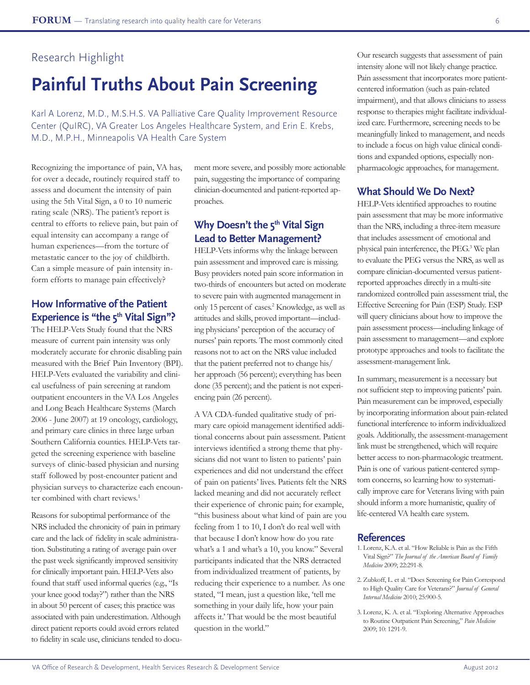## Research Highlight

# **Painful Truths About Pain Screening**

Karl A Lorenz, M.D., M.S.H.S. VA Palliative Care Quality Improvement Resource Center (QuIRC), VA Greater Los Angeles Healthcare System, and Erin E. Krebs, M.D., M.P.H., Minneapolis VA Health Care System

Recognizing the importance of pain, VA has, for over a decade, routinely required staff to assess and document the intensity of pain using the 5th Vital Sign, a 0 to 10 numeric rating scale (NRS). The patient's report is central to efforts to relieve pain, but pain of equal intensity can accompany a range of human experiences—from the torture of metastatic cancer to the joy of childbirth. Can a simple measure of pain intensity inform efforts to manage pain effectively?

## **How Informative of the Patient**  Experience is "the 5<sup>th</sup> Vital Sign"?

The HELP-Vets Study found that the NRS measure of current pain intensity was only moderately accurate for chronic disabling pain measured with the Brief Pain Inventory (BPI). HELP-Vets evaluated the variability and clinical usefulness of pain screening at random outpatient encounters in the VA Los Angeles and Long Beach Healthcare Systems (March 2006 - June 2007) at 19 oncology, cardiology, and primary care clinics in three large urban Southern California counties. HELP-Vets targeted the screening experience with baseline surveys of clinic-based physician and nursing staff followed by post-encounter patient and physician surveys to characterize each encounter combined with chart reviews.<sup>1</sup>

Reasons for suboptimal performance of the NRS included the chronicity of pain in primary care and the lack of fidelity in scale administration. Substituting a rating of average pain over the past week significantly improved sensitivity for clinically important pain. HELP-Vets also found that staff used informal queries (e.g., "Is your knee good today?") rather than the NRS in about 50 percent of cases; this practice was associated with pain underestimation. Although direct patient reports could avoid errors related to fidelity in scale use, clinicians tended to docu-

ment more severe, and possibly more actionable pain, suggesting the importance of comparing clinician-documented and patient-reported approaches.

## **Why Doesn't the 5<sup>th</sup> Vital Sign Lead to Better Management?**

HELP-Vets informs why the linkage between pain assessment and improved care is missing. Busy providers noted pain score information in two-thirds of encounters but acted on moderate to severe pain with augmented management in only 15 percent of cases.<sup>2</sup> Knowledge, as well as attitudes and skills, proved important—including physicians' perception of the accuracy of nurses' pain reports. The most commonly cited reasons not to act on the NRS value included that the patient preferred not to change his/ her approach (56 percent); everything has been done (35 percent); and the patient is not experiencing pain (26 percent).

A VA CDA-funded qualitative study of primary care opioid management identified additional concerns about pain assessment. Patient interviews identified a strong theme that physicians did not want to listen to patients' pain experiences and did not understand the effect of pain on patients' lives. Patients felt the NRS lacked meaning and did not accurately reflect their experience of chronic pain; for example, "this business about what kind of pain are you feeling from 1 to 10, I don't do real well with that because I don't know how do you rate what's a 1 and what's a 10, you know." Several participants indicated that the NRS detracted from individualized treatment of patients, by reducing their experience to a number. As one stated, "I mean, just a question like, 'tell me something in your daily life, how your pain affects it.' That would be the most beautiful question in the world."

Our research suggests that assessment of pain intensity alone will not likely change practice. Pain assessment that incorporates more patientcentered information (such as pain-related impairment), and that allows clinicians to assess response to therapies might facilitate individualized care. Furthermore, screening needs to be meaningfully linked to management, and needs to include a focus on high value clinical conditions and expanded options, especially nonpharmacologic approaches, for management.

## **What Should We Do Next?**

HELP-Vets identified approaches to routine pain assessment that may be more informative than the NRS, including a three-item measure that includes assessment of emotional and physical pain interference, the PEG.3 We plan to evaluate the PEG versus the NRS, as well as compare clinician-documented versus patientreported approaches directly in a multi-site randomized controlled pain assessment trial, the Effective Screening for Pain (ESP) Study. ESP will query clinicians about how to improve the pain assessment process—including linkage of pain assessment to management—and explore prototype approaches and tools to facilitate the assessment-management link.

In summary, measurement is a necessary but not sufficient step to improving patients' pain. Pain measurement can be improved, especially by incorporating information about pain-related functional interference to inform individualized goals. Additionally, the assessment-management link must be strengthened, which will require better access to non-pharmacologic treatment. Pain is one of various patient-centered symptom concerns, so learning how to systematically improve care for Veterans living with pain should inform a more humanistic, quality of life-centered VA health care system.

### **References**

- 1. Lorenz, K.A. et al. "How Reliable is Pain as the Fifth Vital Sign?" *The Journal of the American Board of Family Medicine* 2009; 22:291-8.
- 2. Zubkoff, L. et al. "Does Screening for Pain Correspond to High Quality Care for Veterans?" *Journal of General Internal Medicine* 2010; 25:900-5.
- 3. Lorenz, K. A. et al. "Exploring Alternative Approaches to Routine Outpatient Pain Screening," *Pain Medicine* 2009; 10: 1291-9.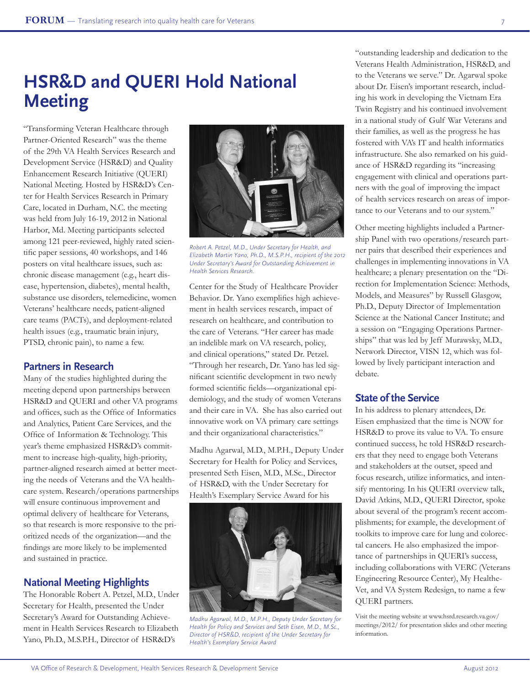# **HSR&D and QUERI Hold National Meeting**

"Transforming Veteran Healthcare through Partner-Oriented Research" was the theme of the 29th VA Health Services Research and Development Service (HSR&D) and Quality Enhancement Research Initiative (QUERI) National Meeting. Hosted by HSR&D's Center for Health Services Research in Primary Care, located in Durham, N.C. the meeting was held from July 16-19, 2012 in National Harbor, Md. Meeting participants selected among 121 peer-reviewed, highly rated scientific paper sessions, 40 workshops, and 146 posters on vital healthcare issues, such as: chronic disease management (e.g., heart disease, hypertension, diabetes), mental health, substance use disorders, telemedicine, women Veterans' healthcare needs, patient-aligned care teams (PACTs), and deployment-related health issues (e.g., traumatic brain injury, PTSD, chronic pain), to name a few.

## **Partners in Research**

Many of the studies highlighted during the meeting depend upon partnerships between HSR&D and QUERI and other VA programs and offices, such as the Office of Informatics and Analytics, Patient Care Services, and the Office of Information & Technology. This year's theme emphasized HSR&D's commitment to increase high-quality, high-priority, partner-aligned research aimed at better meeting the needs of Veterans and the VA healthcare system. Research/operations partnerships will ensure continuous improvement and optimal delivery of healthcare for Veterans, so that research is more responsive to the prioritized needs of the organization—and the findings are more likely to be implemented and sustained in practice.

## **National Meeting Highlights**

The Honorable Robert A. Petzel, M.D., Under Secretary for Health, presented the Under Secretary's Award for Outstanding Achievement in Health Services Research to Elizabeth Yano, Ph.D., M.S.P.H., Director of HSR&D's



*Robert A. Petzel, M.D., Under Secretary for Health, and Elizabeth Martin Yano, Ph.D., M.S.P.H., recipient of the 2012 Under Secretary's Award for Outstanding Achievement in Health Services Research.*

Center for the Study of Healthcare Provider Behavior. Dr. Yano exemplifies high achievement in health services research, impact of research on healthcare, and contribution to the care of Veterans. "Her career has made an indelible mark on VA research, policy, and clinical operations," stated Dr. Petzel. "Through her research, Dr. Yano has led significant scientific development in two newly formed scientific fields—organizational epidemiology, and the study of women Veterans and their care in VA. She has also carried out innovative work on VA primary care settings and their organizational characteristics."

Madhu Agarwal, M.D., M.P.H., Deputy Under Secretary for Health for Policy and Services, presented Seth Eisen, M.D., M.Sc., Director of HSR&D, with the Under Secretary for Health's Exemplary Service Award for his



*Madhu Agarwal, M.D., M.P.H., Deputy Under Secretary for Health for Policy and Services and Seth Eisen, M.D., M.Sc., Director of HSR*&*D, recipient of the Under Secretary for Health's Exemplary Service Award*

"outstanding leadership and dedication to the Veterans Health Administration, HSR&D, and to the Veterans we serve." Dr. Agarwal spoke about Dr. Eisen's important research, including his work in developing the Vietnam Era Twin Registry and his continued involvement in a national study of Gulf War Veterans and their families, as well as the progress he has fostered with VA's IT and health informatics infrastructure. She also remarked on his guidance of HSR&D regarding its "increasing engagement with clinical and operations partners with the goal of improving the impact of health services research on areas of importance to our Veterans and to our system."

Other meeting highlights included a Partnership Panel with two operations/research partner pairs that described their experiences and challenges in implementing innovations in VA healthcare; a plenary presentation on the "Direction for Implementation Science: Methods, Models, and Measures" by Russell Glasgow, Ph.D., Deputy Director of Implementation Science at the National Cancer Institute; and a session on "Engaging Operations Partnerships" that was led by Jeff Murawsky, M.D., Network Director, VISN 12, which was followed by lively participant interaction and debate.

### **State of the Service**

In his address to plenary attendees, Dr. Eisen emphasized that the time is NOW for HSR&D to prove its value to VA. To ensure continued success, he told HSR&D researchers that they need to engage both Veterans and stakeholders at the outset, speed and focus research, utilize informatics, and intensify mentoring. In his QUERI overview talk, David Atkins, M.D., QUERI Director, spoke about several of the program's recent accomplishments; for example, the development of toolkits to improve care for lung and colorectal cancers. He also emphasized the importance of partnerships in QUERI's success, including collaborations with VERC (Veterans Engineering Resource Center), My Healthe-Vet, and VA System Redesign, to name a few QUERI partners.

Visit the meeting website at www.hsrd.research.va.gov/ meetings/2012/ for presentation slides and other meeting information.